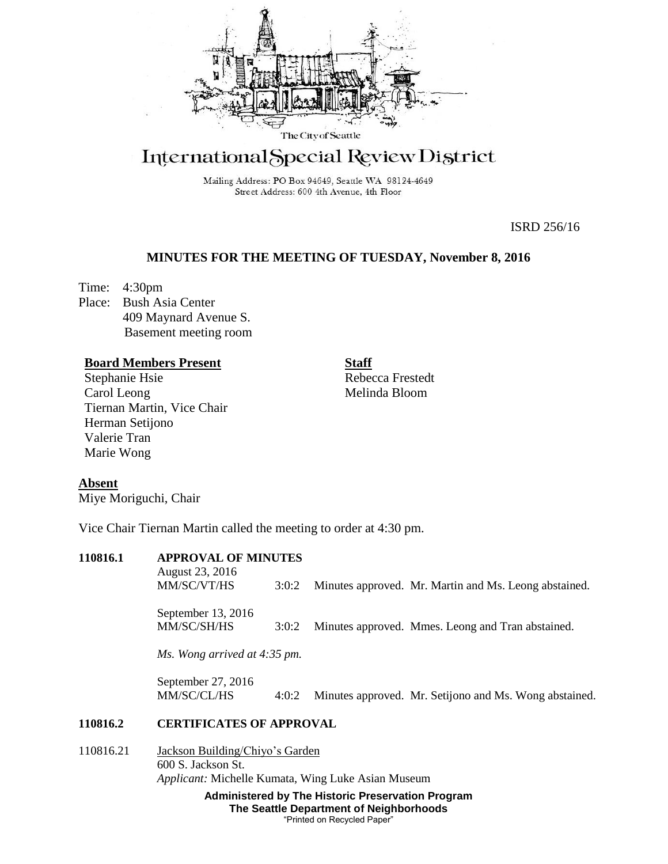

# International Special Review District

Mailing Address: PO Box 94649, Seattle WA 98124-4649 Street Address: 600 4th Avenue, 4th Floor

ISRD 256/16

# **MINUTES FOR THE MEETING OF TUESDAY, November 8, 2016**

Time: 4:30pm Place: Bush Asia Center 409 Maynard Avenue S. Basement meeting room

# **Board Members Present**

Stephanie Hsie Carol Leong Tiernan Martin, Vice Chair Herman Setijono Valerie Tran Marie Wong

**Staff** Rebecca Frestedt Melinda Bloom

# **Absent**

Miye Moriguchi, Chair

Vice Chair Tiernan Martin called the meeting to order at 4:30 pm.

| 110816.1 | <b>APPROVAL OF MINUTES</b><br>August 23, 2016 |       |  |                                                        |
|----------|-----------------------------------------------|-------|--|--------------------------------------------------------|
|          | MM/SC/VT/HS                                   | 3:0:2 |  | Minutes approved. Mr. Martin and Ms. Leong abstained.  |
|          | September $13, 2016$                          |       |  |                                                        |
|          | MM/SC/SH/HS                                   | 3:0:2 |  | Minutes approved. Mmes. Leong and Tran abstained.      |
|          | Ms. Wong arrived at 4:35 pm.                  |       |  |                                                        |
|          | September 27, 2016<br>MM/SC/CL/HS             | 4:0:2 |  | Minutes approved. Mr. Setijono and Ms. Wong abstained. |
| 110816.2 | <b>CERTIFICATES OF APPROVAL</b>               |       |  |                                                        |

110816.21 Jackson Building/Chiyo's Garden 600 S. Jackson St. *Applicant:* Michelle Kumata, Wing Luke Asian Museum

> **Administered by The Historic Preservation Program The Seattle Department of Neighborhoods** "Printed on Recycled Paper"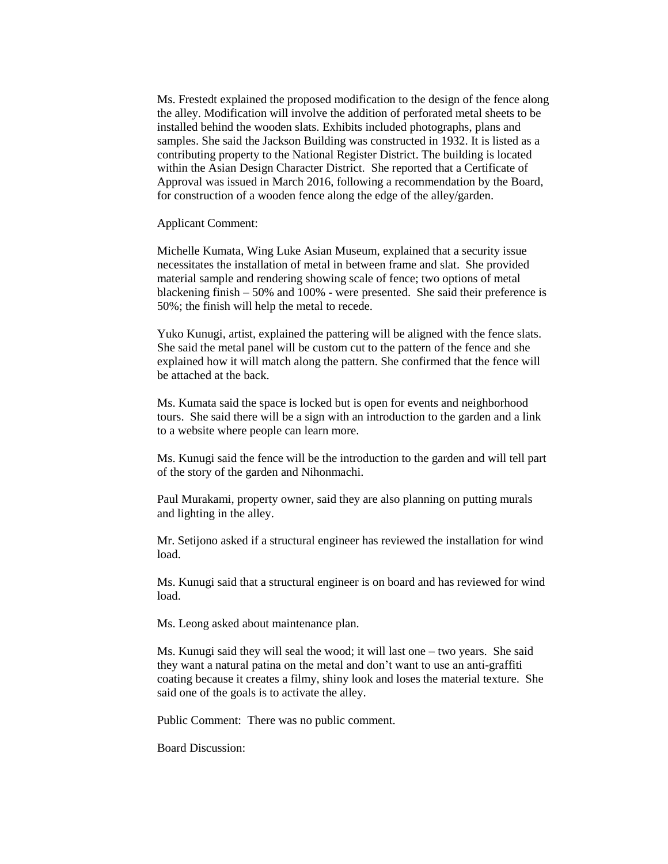Ms. Frestedt explained the proposed modification to the design of the fence along the alley. Modification will involve the addition of perforated metal sheets to be installed behind the wooden slats. Exhibits included photographs, plans and samples. She said the Jackson Building was constructed in 1932. It is listed as a contributing property to the National Register District. The building is located within the Asian Design Character District. She reported that a Certificate of Approval was issued in March 2016, following a recommendation by the Board, for construction of a wooden fence along the edge of the alley/garden.

Applicant Comment:

Michelle Kumata, Wing Luke Asian Museum, explained that a security issue necessitates the installation of metal in between frame and slat. She provided material sample and rendering showing scale of fence; two options of metal blackening finish – 50% and 100% - were presented. She said their preference is 50%; the finish will help the metal to recede.

Yuko Kunugi, artist, explained the pattering will be aligned with the fence slats. She said the metal panel will be custom cut to the pattern of the fence and she explained how it will match along the pattern. She confirmed that the fence will be attached at the back.

Ms. Kumata said the space is locked but is open for events and neighborhood tours. She said there will be a sign with an introduction to the garden and a link to a website where people can learn more.

Ms. Kunugi said the fence will be the introduction to the garden and will tell part of the story of the garden and Nihonmachi.

Paul Murakami, property owner, said they are also planning on putting murals and lighting in the alley.

Mr. Setijono asked if a structural engineer has reviewed the installation for wind load.

Ms. Kunugi said that a structural engineer is on board and has reviewed for wind load.

Ms. Leong asked about maintenance plan.

Ms. Kunugi said they will seal the wood; it will last one – two years. She said they want a natural patina on the metal and don't want to use an anti-graffiti coating because it creates a filmy, shiny look and loses the material texture. She said one of the goals is to activate the alley.

Public Comment: There was no public comment.

Board Discussion: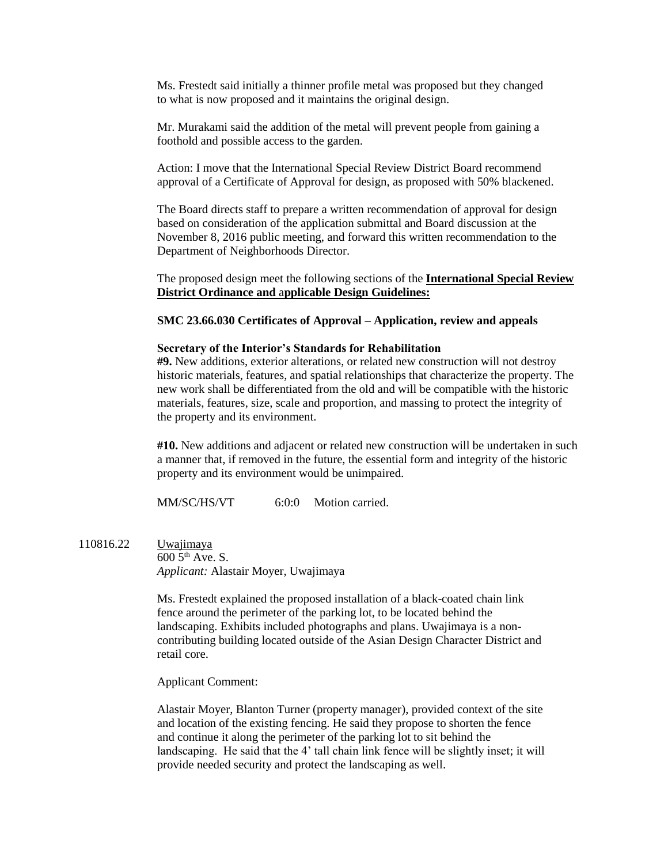Ms. Frestedt said initially a thinner profile metal was proposed but they changed to what is now proposed and it maintains the original design.

Mr. Murakami said the addition of the metal will prevent people from gaining a foothold and possible access to the garden.

Action: I move that the International Special Review District Board recommend approval of a Certificate of Approval for design, as proposed with 50% blackened.

The Board directs staff to prepare a written recommendation of approval for design based on consideration of the application submittal and Board discussion at the November 8, 2016 public meeting, and forward this written recommendation to the Department of Neighborhoods Director.

The proposed design meet the following sections of the **International Special Review District Ordinance and** a**pplicable Design Guidelines:**

## **SMC 23.66.030 Certificates of Approval – Application, review and appeals**

#### **Secretary of the Interior's Standards for Rehabilitation**

**#9.** New additions, exterior alterations, or related new construction will not destroy historic materials, features, and spatial relationships that characterize the property. The new work shall be differentiated from the old and will be compatible with the historic materials, features, size, scale and proportion, and massing to protect the integrity of the property and its environment.

**#10.** New additions and adjacent or related new construction will be undertaken in such a manner that, if removed in the future, the essential form and integrity of the historic property and its environment would be unimpaired.

MM/SC/HS/VT 6:0:0 Motion carried.

110816.22 Uwajimaya  $600\,5^{th}$  Ave. S. *Applicant:* Alastair Moyer, Uwajimaya

> Ms. Frestedt explained the proposed installation of a black-coated chain link fence around the perimeter of the parking lot, to be located behind the landscaping. Exhibits included photographs and plans. Uwajimaya is a noncontributing building located outside of the Asian Design Character District and retail core.

Applicant Comment:

Alastair Moyer, Blanton Turner (property manager), provided context of the site and location of the existing fencing. He said they propose to shorten the fence and continue it along the perimeter of the parking lot to sit behind the landscaping. He said that the 4' tall chain link fence will be slightly inset; it will provide needed security and protect the landscaping as well.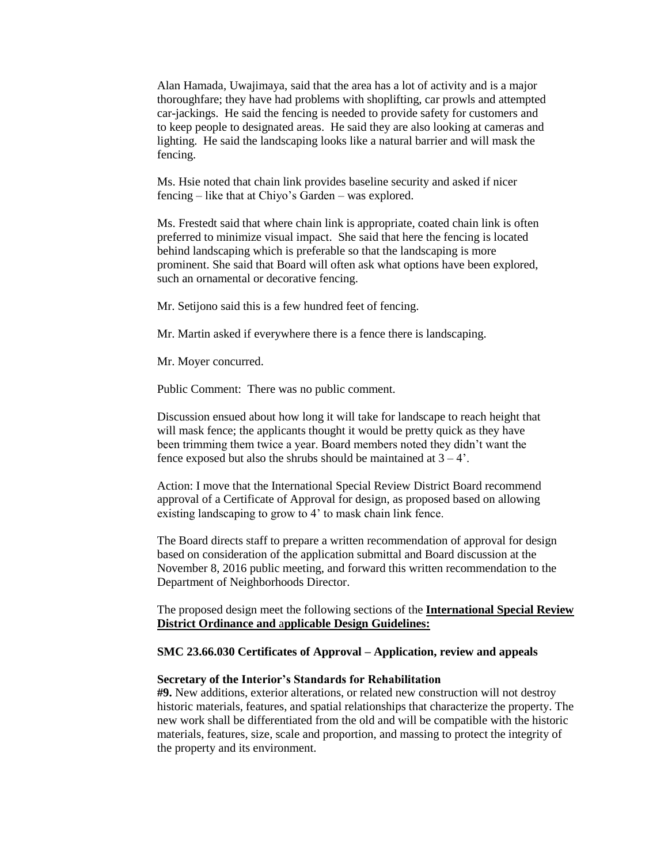Alan Hamada, Uwajimaya, said that the area has a lot of activity and is a major thoroughfare; they have had problems with shoplifting, car prowls and attempted car-jackings. He said the fencing is needed to provide safety for customers and to keep people to designated areas. He said they are also looking at cameras and lighting. He said the landscaping looks like a natural barrier and will mask the fencing.

Ms. Hsie noted that chain link provides baseline security and asked if nicer fencing – like that at Chiyo's Garden – was explored.

Ms. Frestedt said that where chain link is appropriate, coated chain link is often preferred to minimize visual impact. She said that here the fencing is located behind landscaping which is preferable so that the landscaping is more prominent. She said that Board will often ask what options have been explored, such an ornamental or decorative fencing.

Mr. Setijono said this is a few hundred feet of fencing.

Mr. Martin asked if everywhere there is a fence there is landscaping.

Mr. Moyer concurred.

Public Comment: There was no public comment.

Discussion ensued about how long it will take for landscape to reach height that will mask fence; the applicants thought it would be pretty quick as they have been trimming them twice a year. Board members noted they didn't want the fence exposed but also the shrubs should be maintained at  $3 - 4$ .

Action: I move that the International Special Review District Board recommend approval of a Certificate of Approval for design, as proposed based on allowing existing landscaping to grow to 4' to mask chain link fence.

The Board directs staff to prepare a written recommendation of approval for design based on consideration of the application submittal and Board discussion at the November 8, 2016 public meeting, and forward this written recommendation to the Department of Neighborhoods Director.

The proposed design meet the following sections of the **International Special Review District Ordinance and** a**pplicable Design Guidelines:**

## **SMC 23.66.030 Certificates of Approval – Application, review and appeals**

## **Secretary of the Interior's Standards for Rehabilitation**

**#9.** New additions, exterior alterations, or related new construction will not destroy historic materials, features, and spatial relationships that characterize the property. The new work shall be differentiated from the old and will be compatible with the historic materials, features, size, scale and proportion, and massing to protect the integrity of the property and its environment.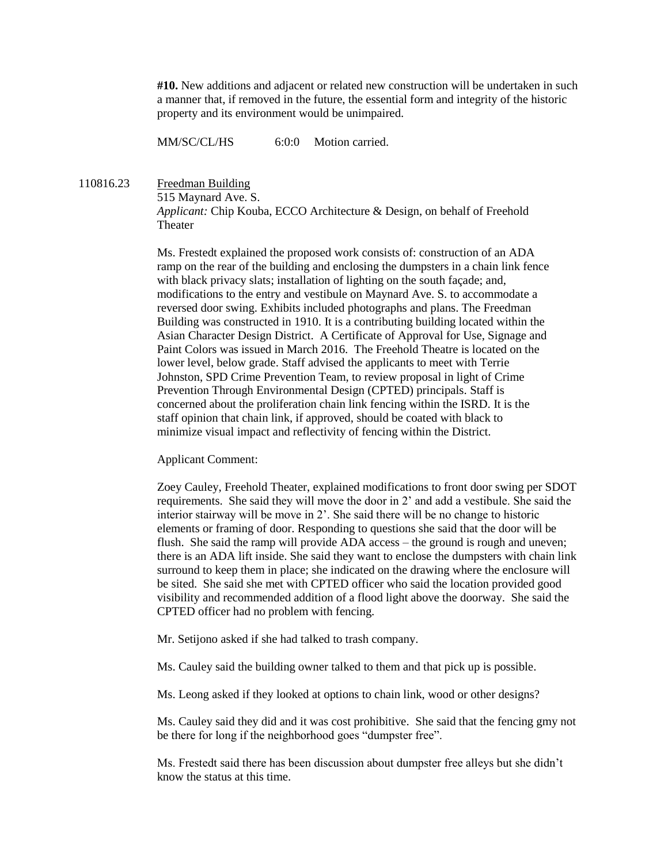**#10.** New additions and adjacent or related new construction will be undertaken in such a manner that, if removed in the future, the essential form and integrity of the historic property and its environment would be unimpaired.

MM/SC/CL/HS 6:0:0 Motion carried.

110816.23 Freedman Building 515 Maynard Ave. S.

> *Applicant:* Chip Kouba, ECCO Architecture & Design, on behalf of Freehold Theater

Ms. Frestedt explained the proposed work consists of: construction of an ADA ramp on the rear of the building and enclosing the dumpsters in a chain link fence with black privacy slats; installation of lighting on the south facade; and, modifications to the entry and vestibule on Maynard Ave. S. to accommodate a reversed door swing. Exhibits included photographs and plans. The Freedman Building was constructed in 1910. It is a contributing building located within the Asian Character Design District. A Certificate of Approval for Use, Signage and Paint Colors was issued in March 2016. The Freehold Theatre is located on the lower level, below grade. Staff advised the applicants to meet with Terrie Johnston, SPD Crime Prevention Team, to review proposal in light of Crime Prevention Through Environmental Design (CPTED) principals. Staff is concerned about the proliferation chain link fencing within the ISRD. It is the staff opinion that chain link, if approved, should be coated with black to minimize visual impact and reflectivity of fencing within the District.

Applicant Comment:

Zoey Cauley, Freehold Theater, explained modifications to front door swing per SDOT requirements. She said they will move the door in 2' and add a vestibule. She said the interior stairway will be move in 2'. She said there will be no change to historic elements or framing of door. Responding to questions she said that the door will be flush. She said the ramp will provide ADA access – the ground is rough and uneven; there is an ADA lift inside. She said they want to enclose the dumpsters with chain link surround to keep them in place; she indicated on the drawing where the enclosure will be sited. She said she met with CPTED officer who said the location provided good visibility and recommended addition of a flood light above the doorway. She said the CPTED officer had no problem with fencing.

Mr. Setijono asked if she had talked to trash company.

Ms. Cauley said the building owner talked to them and that pick up is possible.

Ms. Leong asked if they looked at options to chain link, wood or other designs?

Ms. Cauley said they did and it was cost prohibitive. She said that the fencing gmy not be there for long if the neighborhood goes "dumpster free".

Ms. Frestedt said there has been discussion about dumpster free alleys but she didn't know the status at this time.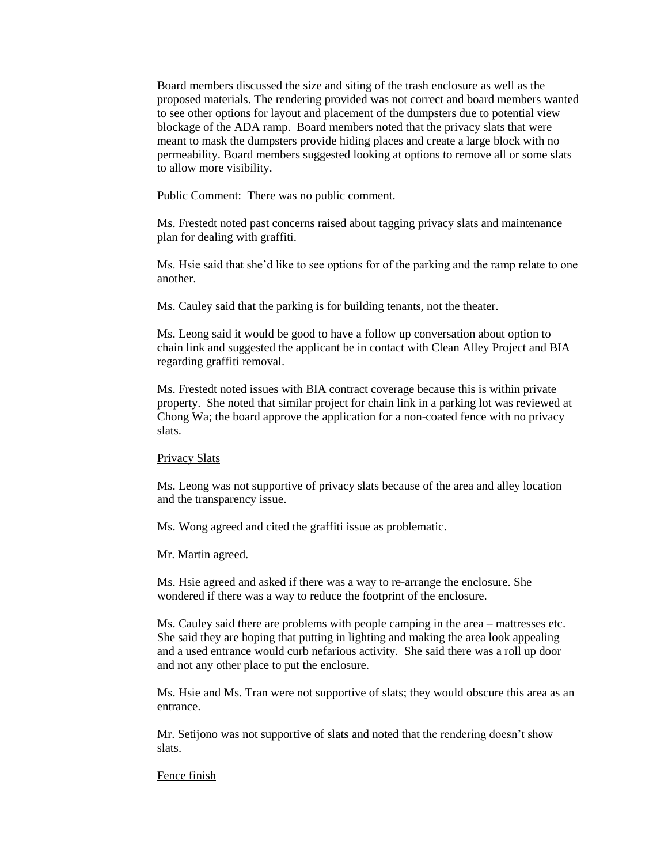Board members discussed the size and siting of the trash enclosure as well as the proposed materials. The rendering provided was not correct and board members wanted to see other options for layout and placement of the dumpsters due to potential view blockage of the ADA ramp. Board members noted that the privacy slats that were meant to mask the dumpsters provide hiding places and create a large block with no permeability. Board members suggested looking at options to remove all or some slats to allow more visibility.

Public Comment: There was no public comment.

Ms. Frestedt noted past concerns raised about tagging privacy slats and maintenance plan for dealing with graffiti.

Ms. Hsie said that she'd like to see options for of the parking and the ramp relate to one another.

Ms. Cauley said that the parking is for building tenants, not the theater.

Ms. Leong said it would be good to have a follow up conversation about option to chain link and suggested the applicant be in contact with Clean Alley Project and BIA regarding graffiti removal.

Ms. Frestedt noted issues with BIA contract coverage because this is within private property. She noted that similar project for chain link in a parking lot was reviewed at Chong Wa; the board approve the application for a non-coated fence with no privacy slats.

#### Privacy Slats

Ms. Leong was not supportive of privacy slats because of the area and alley location and the transparency issue.

Ms. Wong agreed and cited the graffiti issue as problematic.

Mr. Martin agreed.

Ms. Hsie agreed and asked if there was a way to re-arrange the enclosure. She wondered if there was a way to reduce the footprint of the enclosure.

Ms. Cauley said there are problems with people camping in the area – mattresses etc. She said they are hoping that putting in lighting and making the area look appealing and a used entrance would curb nefarious activity. She said there was a roll up door and not any other place to put the enclosure.

Ms. Hsie and Ms. Tran were not supportive of slats; they would obscure this area as an entrance.

Mr. Setijono was not supportive of slats and noted that the rendering doesn't show slats.

## Fence finish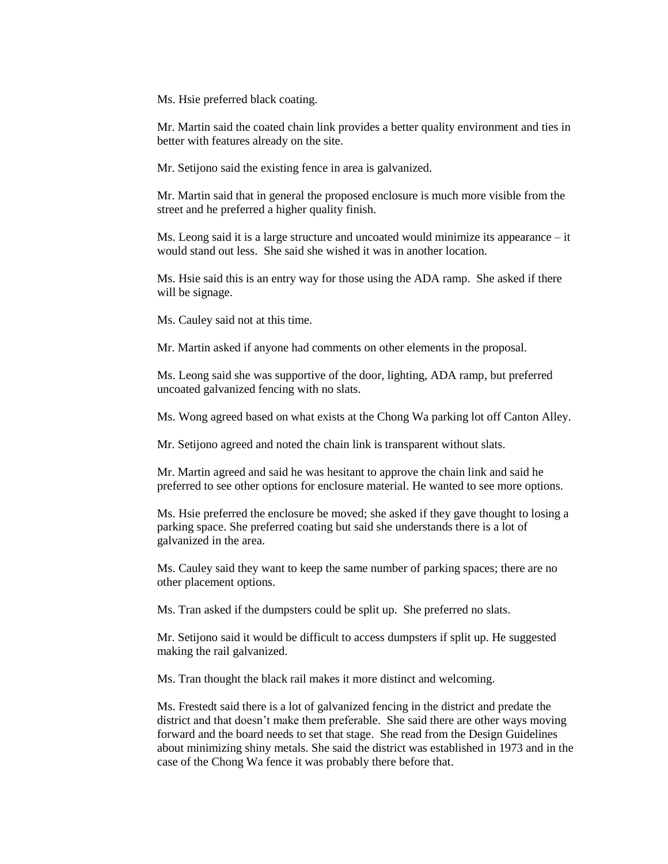Ms. Hsie preferred black coating.

Mr. Martin said the coated chain link provides a better quality environment and ties in better with features already on the site.

Mr. Setijono said the existing fence in area is galvanized.

Mr. Martin said that in general the proposed enclosure is much more visible from the street and he preferred a higher quality finish.

Ms. Leong said it is a large structure and uncoated would minimize its appearance – it would stand out less. She said she wished it was in another location.

Ms. Hsie said this is an entry way for those using the ADA ramp. She asked if there will be signage.

Ms. Cauley said not at this time.

Mr. Martin asked if anyone had comments on other elements in the proposal.

Ms. Leong said she was supportive of the door, lighting, ADA ramp, but preferred uncoated galvanized fencing with no slats.

Ms. Wong agreed based on what exists at the Chong Wa parking lot off Canton Alley.

Mr. Setijono agreed and noted the chain link is transparent without slats.

Mr. Martin agreed and said he was hesitant to approve the chain link and said he preferred to see other options for enclosure material. He wanted to see more options.

Ms. Hsie preferred the enclosure be moved; she asked if they gave thought to losing a parking space. She preferred coating but said she understands there is a lot of galvanized in the area.

Ms. Cauley said they want to keep the same number of parking spaces; there are no other placement options.

Ms. Tran asked if the dumpsters could be split up. She preferred no slats.

Mr. Setijono said it would be difficult to access dumpsters if split up. He suggested making the rail galvanized.

Ms. Tran thought the black rail makes it more distinct and welcoming.

Ms. Frestedt said there is a lot of galvanized fencing in the district and predate the district and that doesn't make them preferable. She said there are other ways moving forward and the board needs to set that stage. She read from the Design Guidelines about minimizing shiny metals. She said the district was established in 1973 and in the case of the Chong Wa fence it was probably there before that.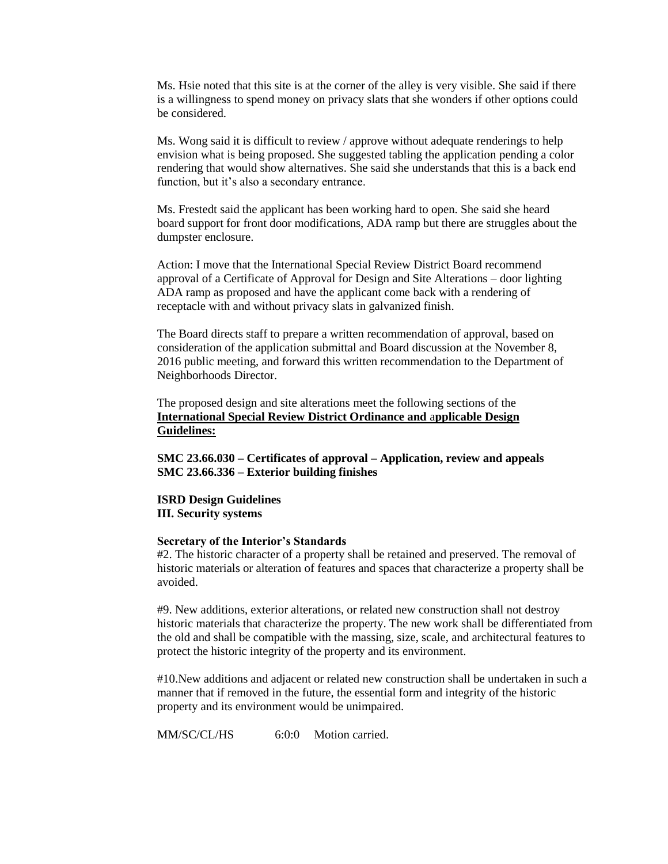Ms. Hsie noted that this site is at the corner of the alley is very visible. She said if there is a willingness to spend money on privacy slats that she wonders if other options could be considered.

Ms. Wong said it is difficult to review / approve without adequate renderings to help envision what is being proposed. She suggested tabling the application pending a color rendering that would show alternatives. She said she understands that this is a back end function, but it's also a secondary entrance.

Ms. Frestedt said the applicant has been working hard to open. She said she heard board support for front door modifications, ADA ramp but there are struggles about the dumpster enclosure.

Action: I move that the International Special Review District Board recommend approval of a Certificate of Approval for Design and Site Alterations – door lighting ADA ramp as proposed and have the applicant come back with a rendering of receptacle with and without privacy slats in galvanized finish.

The Board directs staff to prepare a written recommendation of approval, based on consideration of the application submittal and Board discussion at the November 8, 2016 public meeting, and forward this written recommendation to the Department of Neighborhoods Director.

The proposed design and site alterations meet the following sections of the **International Special Review District Ordinance and** a**pplicable Design Guidelines:**

**SMC 23.66.030 – Certificates of approval – Application, review and appeals SMC 23.66.336 – Exterior building finishes**

## **ISRD Design Guidelines III. Security systems**

#### **Secretary of the Interior's Standards**

#2. The historic character of a property shall be retained and preserved. The removal of historic materials or alteration of features and spaces that characterize a property shall be avoided.

#9. New additions, exterior alterations, or related new construction shall not destroy historic materials that characterize the property. The new work shall be differentiated from the old and shall be compatible with the massing, size, scale, and architectural features to protect the historic integrity of the property and its environment.

#10.New additions and adjacent or related new construction shall be undertaken in such a manner that if removed in the future, the essential form and integrity of the historic property and its environment would be unimpaired.

MM/SC/CL/HS 6:0:0 Motion carried.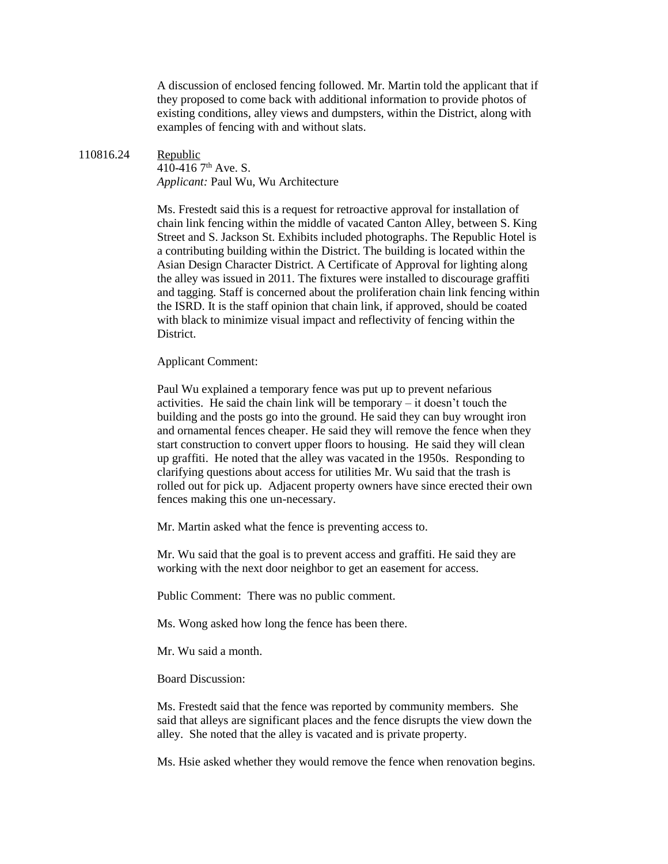A discussion of enclosed fencing followed. Mr. Martin told the applicant that if they proposed to come back with additional information to provide photos of existing conditions, alley views and dumpsters, within the District, along with examples of fencing with and without slats.

#### 110816.24 Republic

410-416  $7<sup>th</sup>$  Ave. S. *Applicant:* Paul Wu, Wu Architecture

Ms. Frestedt said this is a request for retroactive approval for installation of chain link fencing within the middle of vacated Canton Alley, between S. King Street and S. Jackson St. Exhibits included photographs. The Republic Hotel is a contributing building within the District. The building is located within the Asian Design Character District. A Certificate of Approval for lighting along the alley was issued in 2011. The fixtures were installed to discourage graffiti and tagging. Staff is concerned about the proliferation chain link fencing within the ISRD. It is the staff opinion that chain link, if approved, should be coated with black to minimize visual impact and reflectivity of fencing within the District.

Applicant Comment:

Paul Wu explained a temporary fence was put up to prevent nefarious activities. He said the chain link will be temporary – it doesn't touch the building and the posts go into the ground. He said they can buy wrought iron and ornamental fences cheaper. He said they will remove the fence when they start construction to convert upper floors to housing. He said they will clean up graffiti. He noted that the alley was vacated in the 1950s. Responding to clarifying questions about access for utilities Mr. Wu said that the trash is rolled out for pick up. Adjacent property owners have since erected their own fences making this one un-necessary.

Mr. Martin asked what the fence is preventing access to.

Mr. Wu said that the goal is to prevent access and graffiti. He said they are working with the next door neighbor to get an easement for access.

Public Comment: There was no public comment.

Ms. Wong asked how long the fence has been there.

Mr. Wu said a month.

Board Discussion:

Ms. Frestedt said that the fence was reported by community members. She said that alleys are significant places and the fence disrupts the view down the alley. She noted that the alley is vacated and is private property.

Ms. Hsie asked whether they would remove the fence when renovation begins.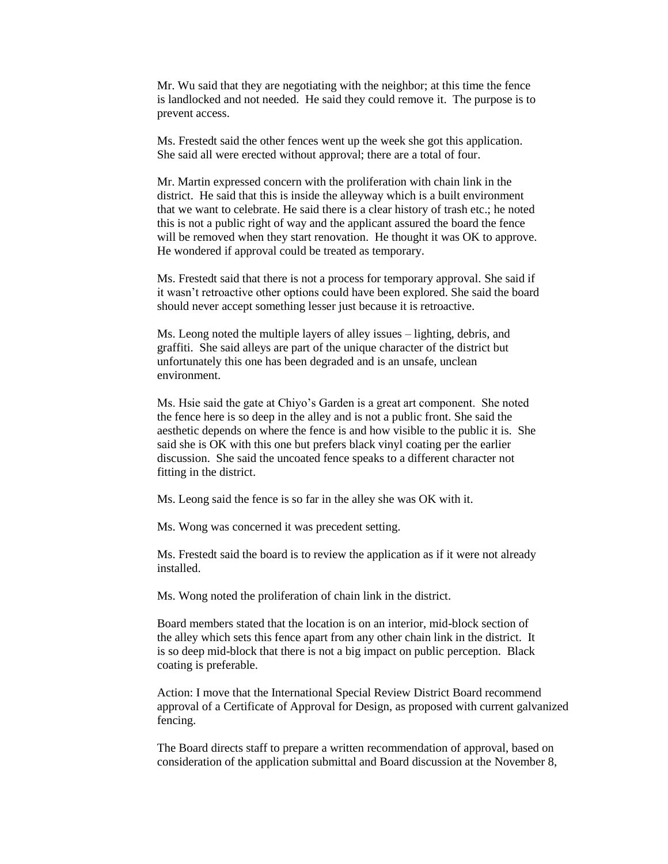Mr. Wu said that they are negotiating with the neighbor; at this time the fence is landlocked and not needed. He said they could remove it. The purpose is to prevent access.

Ms. Frestedt said the other fences went up the week she got this application. She said all were erected without approval; there are a total of four.

Mr. Martin expressed concern with the proliferation with chain link in the district. He said that this is inside the alleyway which is a built environment that we want to celebrate. He said there is a clear history of trash etc.; he noted this is not a public right of way and the applicant assured the board the fence will be removed when they start renovation. He thought it was OK to approve. He wondered if approval could be treated as temporary.

Ms. Frestedt said that there is not a process for temporary approval. She said if it wasn't retroactive other options could have been explored. She said the board should never accept something lesser just because it is retroactive.

Ms. Leong noted the multiple layers of alley issues – lighting, debris, and graffiti. She said alleys are part of the unique character of the district but unfortunately this one has been degraded and is an unsafe, unclean environment.

Ms. Hsie said the gate at Chiyo's Garden is a great art component. She noted the fence here is so deep in the alley and is not a public front. She said the aesthetic depends on where the fence is and how visible to the public it is. She said she is OK with this one but prefers black vinyl coating per the earlier discussion. She said the uncoated fence speaks to a different character not fitting in the district.

Ms. Leong said the fence is so far in the alley she was OK with it.

Ms. Wong was concerned it was precedent setting.

Ms. Frestedt said the board is to review the application as if it were not already installed.

Ms. Wong noted the proliferation of chain link in the district.

Board members stated that the location is on an interior, mid-block section of the alley which sets this fence apart from any other chain link in the district. It is so deep mid-block that there is not a big impact on public perception. Black coating is preferable.

Action: I move that the International Special Review District Board recommend approval of a Certificate of Approval for Design, as proposed with current galvanized fencing.

The Board directs staff to prepare a written recommendation of approval, based on consideration of the application submittal and Board discussion at the November 8,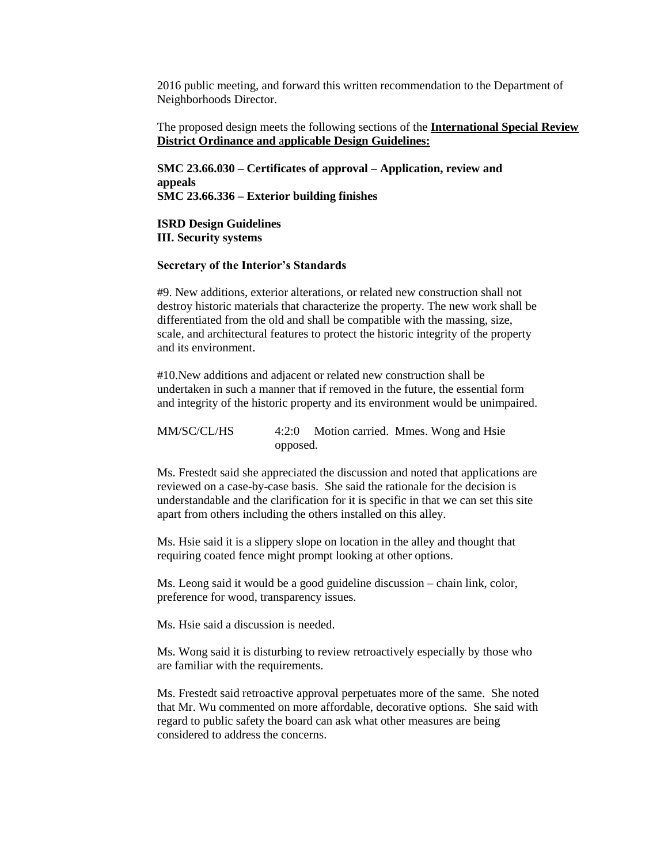2016 public meeting, and forward this written recommendation to the Department of Neighborhoods Director.

The proposed design meets the following sections of the **International Special Review District Ordinance and** a**pplicable Design Guidelines:**

**SMC 23.66.030 – Certificates of approval – Application, review and appeals SMC 23.66.336 – Exterior building finishes**

**ISRD Design Guidelines III. Security systems**

#### **Secretary of the Interior's Standards**

#9. New additions, exterior alterations, or related new construction shall not destroy historic materials that characterize the property. The new work shall be differentiated from the old and shall be compatible with the massing, size, scale, and architectural features to protect the historic integrity of the property and its environment.

#10.New additions and adjacent or related new construction shall be undertaken in such a manner that if removed in the future, the essential form and integrity of the historic property and its environment would be unimpaired.

MM/SC/CL/HS 4:2:0 Motion carried. Mmes. Wong and Hsie opposed.

Ms. Frestedt said she appreciated the discussion and noted that applications are reviewed on a case-by-case basis. She said the rationale for the decision is understandable and the clarification for it is specific in that we can set this site apart from others including the others installed on this alley.

Ms. Hsie said it is a slippery slope on location in the alley and thought that requiring coated fence might prompt looking at other options.

Ms. Leong said it would be a good guideline discussion – chain link, color, preference for wood, transparency issues.

Ms. Hsie said a discussion is needed.

Ms. Wong said it is disturbing to review retroactively especially by those who are familiar with the requirements.

Ms. Frestedt said retroactive approval perpetuates more of the same. She noted that Mr. Wu commented on more affordable, decorative options. She said with regard to public safety the board can ask what other measures are being considered to address the concerns.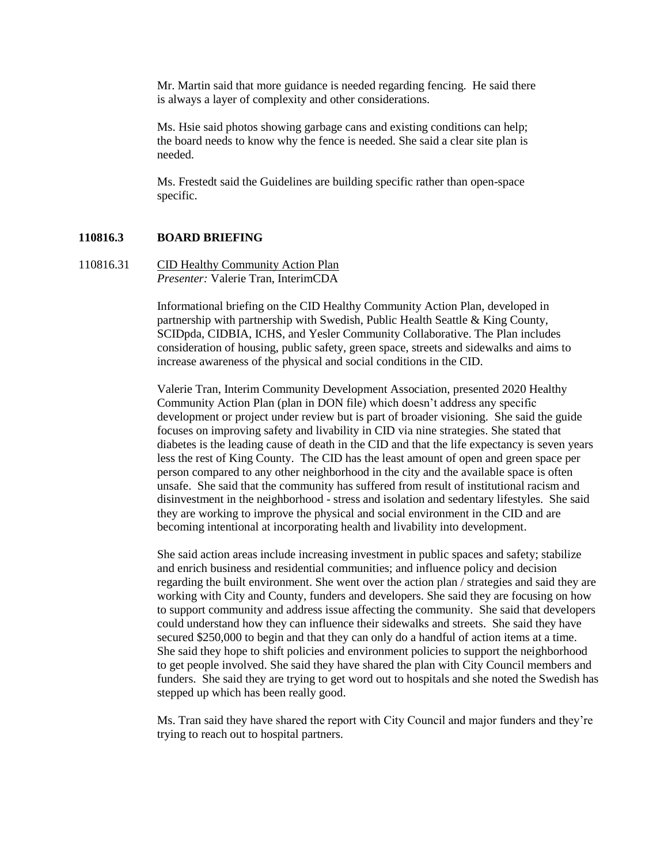Mr. Martin said that more guidance is needed regarding fencing. He said there is always a layer of complexity and other considerations.

Ms. Hsie said photos showing garbage cans and existing conditions can help; the board needs to know why the fence is needed. She said a clear site plan is needed.

Ms. Frestedt said the Guidelines are building specific rather than open-space specific.

## **110816.3 BOARD BRIEFING**

110816.31 CID Healthy Community Action Plan *Presenter:* Valerie Tran, InterimCDA

> Informational briefing on the CID Healthy Community Action Plan, developed in partnership with partnership with Swedish, Public Health Seattle & King County, SCIDpda, CIDBIA, ICHS, and Yesler Community Collaborative. The Plan includes consideration of housing, public safety, green space, streets and sidewalks and aims to increase awareness of the physical and social conditions in the CID.

Valerie Tran, Interim Community Development Association, presented 2020 Healthy Community Action Plan (plan in DON file) which doesn't address any specific development or project under review but is part of broader visioning. She said the guide focuses on improving safety and livability in CID via nine strategies. She stated that diabetes is the leading cause of death in the CID and that the life expectancy is seven years less the rest of King County. The CID has the least amount of open and green space per person compared to any other neighborhood in the city and the available space is often unsafe. She said that the community has suffered from result of institutional racism and disinvestment in the neighborhood - stress and isolation and sedentary lifestyles. She said they are working to improve the physical and social environment in the CID and are becoming intentional at incorporating health and livability into development.

She said action areas include increasing investment in public spaces and safety; stabilize and enrich business and residential communities; and influence policy and decision regarding the built environment. She went over the action plan / strategies and said they are working with City and County, funders and developers. She said they are focusing on how to support community and address issue affecting the community. She said that developers could understand how they can influence their sidewalks and streets. She said they have secured \$250,000 to begin and that they can only do a handful of action items at a time. She said they hope to shift policies and environment policies to support the neighborhood to get people involved. She said they have shared the plan with City Council members and funders. She said they are trying to get word out to hospitals and she noted the Swedish has stepped up which has been really good.

Ms. Tran said they have shared the report with City Council and major funders and they're trying to reach out to hospital partners.